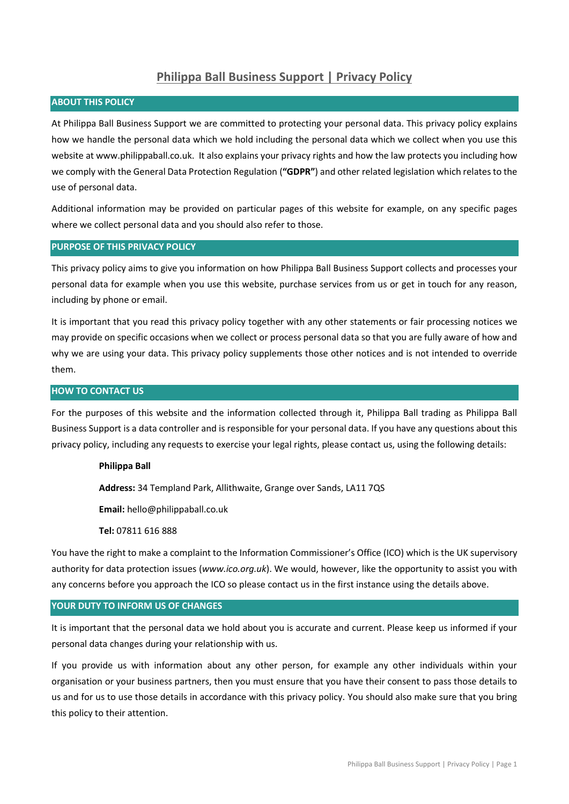# **Philippa Ball Business Support | Privacy Policy**

### **ABOUT THIS POLICY**

At Philippa Ball Business Support we are committed to protecting your personal data. This privacy policy explains how we handle the personal data which we hold including the personal data which we collect when you use this website at www.philippaball.co.uk. It also explains your privacy rights and how the law protects you including how we comply with the General Data Protection Regulation (**"GDPR"**) and other related legislation which relates to the use of personal data.

Additional information may be provided on particular pages of this website for example, on any specific pages where we collect personal data and you should also refer to those.

# **PURPOSE OF THIS PRIVACY POLICY**

This privacy policy aims to give you information on how Philippa Ball Business Support collects and processes your personal data for example when you use this website, purchase services from us or get in touch for any reason, including by phone or email.

It is important that you read this privacy policy together with any other statements or fair processing notices we may provide on specific occasions when we collect or process personal data so that you are fully aware of how and why we are using your data. This privacy policy supplements those other notices and is not intended to override them.

### **HOW TO CONTACT US**

For the purposes of this website and the information collected through it, Philippa Ball trading as Philippa Ball Business Support is a data controller and is responsible for your personal data. If you have any questions about this privacy policy, including any requests to exercise your legal rights, please contact us, using the following details:

#### **Philippa Ball**

**Address:** 34 Templand Park, Allithwaite, Grange over Sands, LA11 7QS

**Email:** hello@philippaball.co.uk

**Tel:** 07811 616 888

You have the right to make a complaint to the Information Commissioner's Office (ICO) which is the UK supervisory authority for data protection issues (*[www.ico.org.uk](http://www.ico.org.uk/)*). We would, however, like the opportunity to assist you with any concerns before you approach the ICO so please contact us in the first instance using the details above.

#### **YOUR DUTY TO INFORM US OF CHANGES**

It is important that the personal data we hold about you is accurate and current. Please keep us informed if your personal data changes during your relationship with us.

If you provide us with information about any other person, for example any other individuals within your organisation or your business partners, then you must ensure that you have their consent to pass those details to us and for us to use those details in accordance with this privacy policy. You should also make sure that you bring this policy to their attention.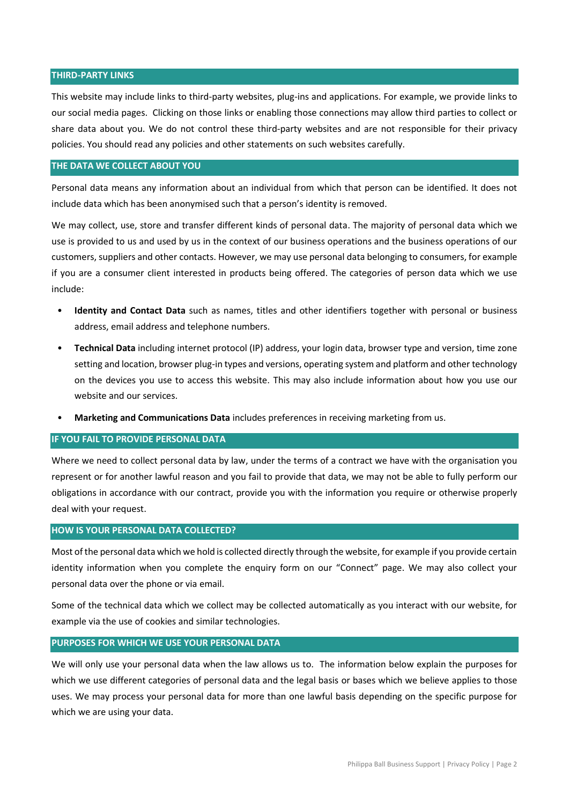#### **THIRD-PARTY LINKS**

This website may include links to third-party websites, plug-ins and applications. For example, we provide links to our social media pages. Clicking on those links or enabling those connections may allow third parties to collect or share data about you. We do not control these third-party websites and are not responsible for their privacy policies. You should read any policies and other statements on such websites carefully.

#### **THE DATA WE COLLECT ABOUT YOU**

Personal data means any information about an individual from which that person can be identified. It does not include data which has been anonymised such that a person's identity is removed.

We may collect, use, store and transfer different kinds of personal data. The majority of personal data which we use is provided to us and used by us in the context of our business operations and the business operations of our customers, suppliers and other contacts. However, we may use personal data belonging to consumers, for example if you are a consumer client interested in products being offered. The categories of person data which we use include:

- **Identity and Contact Data** such as names, titles and other identifiers together with personal or business address, email address and telephone numbers.
- **Technical Data** including internet protocol (IP) address, your login data, browser type and version, time zone setting and location, browser plug-in types and versions, operating system and platform and other technology on the devices you use to access this website. This may also include information about how you use our website and our services.
- **Marketing and Communications Data** includes preferences in receiving marketing from us.

### **IF YOU FAIL TO PROVIDE PERSONAL DATA**

Where we need to collect personal data by law, under the terms of a contract we have with the organisation you represent or for another lawful reason and you fail to provide that data, we may not be able to fully perform our obligations in accordance with our contract, provide you with the information you require or otherwise properly deal with your request.

#### **HOW IS YOUR PERSONAL DATA COLLECTED?**

Most of the personal data which we hold is collected directly through the website, for example if you provide certain identity information when you complete the enquiry form on our "Connect" page. We may also collect your personal data over the phone or via email.

Some of the technical data which we collect may be collected automatically as you interact with our website, for example via the use of cookies and similar technologies.

#### **PURPOSES FOR WHICH WE USE YOUR PERSONAL DATA**

We will only use your personal data when the law allows us to. The information below explain the purposes for which we use different categories of personal data and the legal basis or bases which we believe applies to those uses. We may process your personal data for more than one lawful basis depending on the specific purpose for which we are using your data.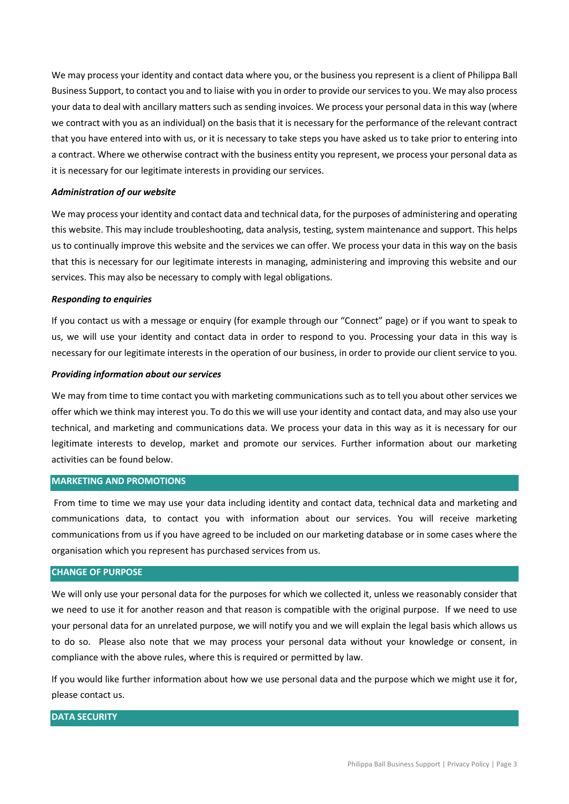We may process your identity and contact data where you, or the business you represent is a client of Philippa Ball Business Support, to contact you and to liaise with you in order to provide our services to you. We may also process your data to deal with ancillary matters such as sending invoices. We process your personal data in this way (where we contract with you as an individual) on the basis that it is necessary for the performance of the relevant contract that you have entered into with us, or it is necessary to take steps you have asked us to take prior to entering into a contract. Where we otherwise contract with the business entity you represent, we process your personal data as it is necessary for our legitimate interests in providing our services.

#### *Administration of our website*

We may process your identity and contact data and technical data, for the purposes of administering and operating this website. This may include troubleshooting, data analysis, testing, system maintenance and support. This helps us to continually improve this website and the services we can offer. We process your data in this way on the basis that this is necessary for our legitimate interests in managing, administering and improving this website and our services. This may also be necessary to comply with legal obligations.

#### *Responding to enquiries*

If you contact us with a message or enquiry (for example through our "Connect" page) or if you want to speak to us, we will use your identity and contact data in order to respond to you. Processing your data in this way is necessary for our legitimate interests in the operation of our business, in order to provide our client service to you.

#### *Providing information about our services*

We may from time to time contact you with marketing communications such as to tell you about other services we offer which we think may interest you. To do this we will use your identity and contact data, and may also use your technical, and marketing and communications data. We process your data in this way as it is necessary for our legitimate interests to develop, market and promote our services. Further information about our marketing activities can be found below.

### **MARKETING AND PROMOTIONS**

From time to time we may use your data including identity and contact data, technical data and marketing and communications data, to contact you with information about our services. You will receive marketing communications from us if you have agreed to be included on our marketing database or in some cases where the organisation which you represent has purchased services from us.

## **CHANGE OF PURPOSE**

We will only use your personal data for the purposes for which we collected it, unless we reasonably consider that we need to use it for another reason and that reason is compatible with the original purpose. If we need to use your personal data for an unrelated purpose, we will notify you and we will explain the legal basis which allows us to do so. Please also note that we may process your personal data without your knowledge or consent, in compliance with the above rules, where this is required or permitted by law.

If you would like further information about how we use personal data and the purpose which we might use it for, please contact us.

# **DATA SECURITY**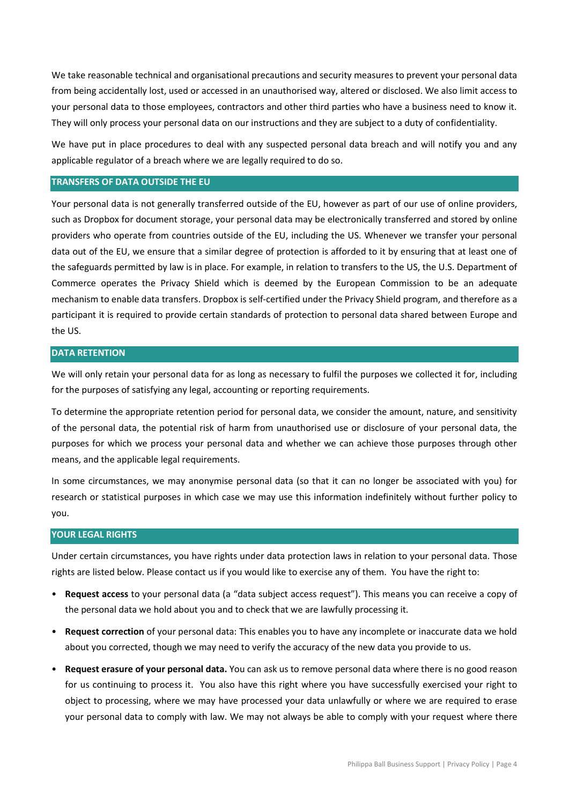We take reasonable technical and organisational precautions and security measures to prevent your personal data from being accidentally lost, used or accessed in an unauthorised way, altered or disclosed. We also limit access to your personal data to those employees, contractors and other third parties who have a business need to know it. They will only process your personal data on our instructions and they are subject to a duty of confidentiality.

We have put in place procedures to deal with any suspected personal data breach and will notify you and any applicable regulator of a breach where we are legally required to do so.

### **TRANSFERS OF DATA OUTSIDE THE EU**

Your personal data is not generally transferred outside of the EU, however as part of our use of online providers, such as Dropbox for document storage, your personal data may be electronically transferred and stored by online providers who operate from countries outside of the EU, including the US. Whenever we transfer your personal data out of the EU, we ensure that a similar degree of protection is afforded to it by ensuring that at least one of the safeguards permitted by law is in place. For example, in relation to transfers to the US, the U.S. Department of Commerce operates the Privacy Shield which is deemed by the European Commission to be an adequate mechanism to enable data transfers. Dropbox is self-certified under the Privacy Shield program, and therefore as a participant it is required to provide certain standards of protection to personal data shared between Europe and the US.

# **DATA RETENTION**

We will only retain your personal data for as long as necessary to fulfil the purposes we collected it for, including for the purposes of satisfying any legal, accounting or reporting requirements.

To determine the appropriate retention period for personal data, we consider the amount, nature, and sensitivity of the personal data, the potential risk of harm from unauthorised use or disclosure of your personal data, the purposes for which we process your personal data and whether we can achieve those purposes through other means, and the applicable legal requirements.

In some circumstances, we may anonymise personal data (so that it can no longer be associated with you) for research or statistical purposes in which case we may use this information indefinitely without further policy to you.

#### **YOUR LEGAL RIGHTS**

Under certain circumstances, you have rights under data protection laws in relation to your personal data. Those rights are listed below. Please contact us if you would like to exercise any of them. You have the right to:

- **Request access** to your personal data (a "data subject access request"). This means you can receive a copy of the personal data we hold about you and to check that we are lawfully processing it.
- **Request correction** of your personal data: This enables you to have any incomplete or inaccurate data we hold about you corrected, though we may need to verify the accuracy of the new data you provide to us.
- **Request erasure of your personal data.** You can ask us to remove personal data where there is no good reason for us continuing to process it. You also have this right where you have successfully exercised your right to object to processing, where we may have processed your data unlawfully or where we are required to erase your personal data to comply with law. We may not always be able to comply with your request where there